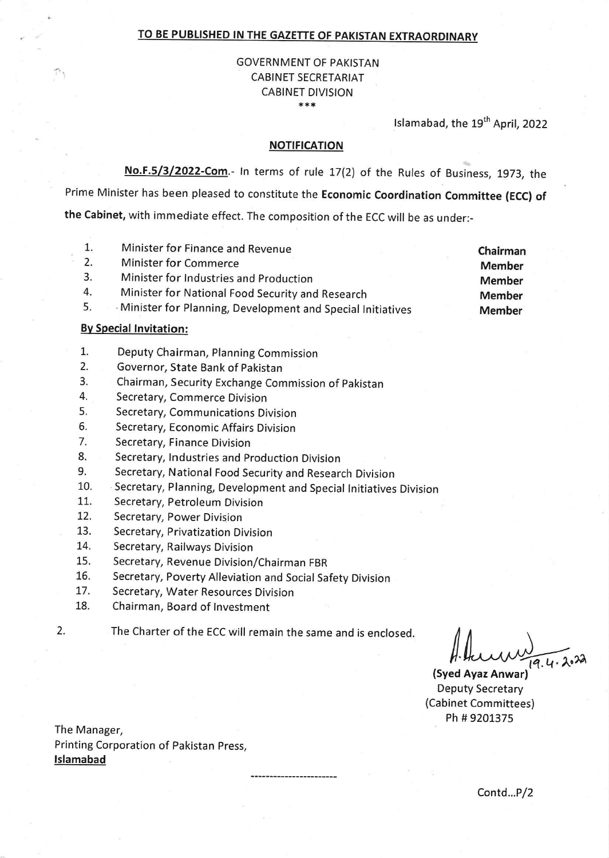#### **TO BE PUBLISHED IN THE GAZETTE OF PAKISTAN EXTRAORDINARY**

#### \*\*\* GOVERNMENT OF PAKISTAN CABINET SECRETARIAT CABINET DIVISION

Islamabad, the 19<sup>th</sup> April, 2022

#### **NOTIFICATION**

**No.F.5/3/2022-Com.-** In terms of rule 17(2) of the Rules of Business, 1973, the Prime Minister has been pleased to constitute the **Economic Coordination Committee (ECC) of the Cabinet,** with immediate effect. The composition of the ECC will be as under:-

- Minister for Finance and Revenue 1.
- Minister for Commerce 2.
- Minister for Industries and Production 3.
- Minister for National Food Security and Research 4.
- · Minister for Planning, Development and Special Initiatives 5.

#### **By Special Invitation:**

- Deputy Chairman, Planning Commission 1.
- Governor, State Bank of Pakistan 2.
- Chairman, Security Exchange Commission of Pakistan 3.
- Secretary, Commerce Division 4.
- Secretary, Communications Division 5.
- Secretary, Economic Affairs Division 6.
- Secretary, Finance Division 7.
- Secretary, Industries and Production Division 8.
- Secretary, National Food Security and Research Division 9.
- Secretary, Planning, Development and Special Initiatives Division 10.
- Secretary, Petroleum Division 11.
- Secretary, Power Division 12.
- Secretary, Privatization Division 13.
- Secretary, Railways Division 14.
- Secretary, Revenue Division/Chairman FBR 15.
- Secretary, Poverty Alleviation and Social Safety Division 16.
- Secretary, Water Resources Division 17.
- Chairman, Board of Investment 18.
- 2.
- The Charter of the ECC will remain the same and is enclosed.

 $1.4...$   $1.4...$ 

**(Syed Ayaz Anwar)**  Deputy Secretary (Cabinet Committees) Ph# 9201375

The Manager, Printing Corporation of Pakistan Press, **Islamabad** 

Contd...P/2

**Chairman Member Member Member Member**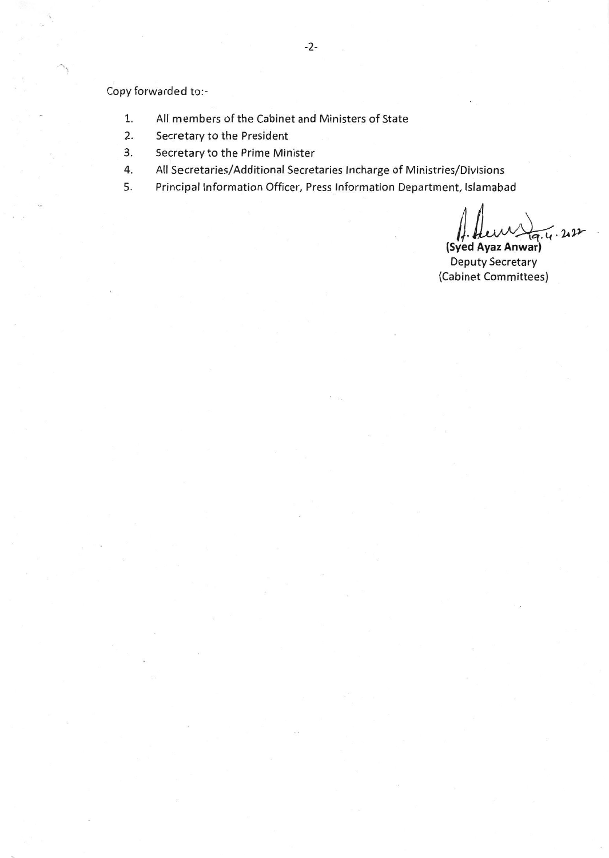Copy forwarded to:-

- 1. All members of the Cabinet and Ministers of State
- 2. Secretary to the President
- 3. Secretary to the Prime Minister
- 4. All Secretaries/Additional Secretaries lncharge of Ministries/Divisions
- 5. Principal Information Officer, Press Information Department, Islamabad

*Pivisions*<br> *Letter Aletter*<br> *land Ayaz Anwar)*<br> *leouty Secretary .µ~*  **(Syed Ayaz Anwar)** 

Deputy Secretary (Cabinet Committees)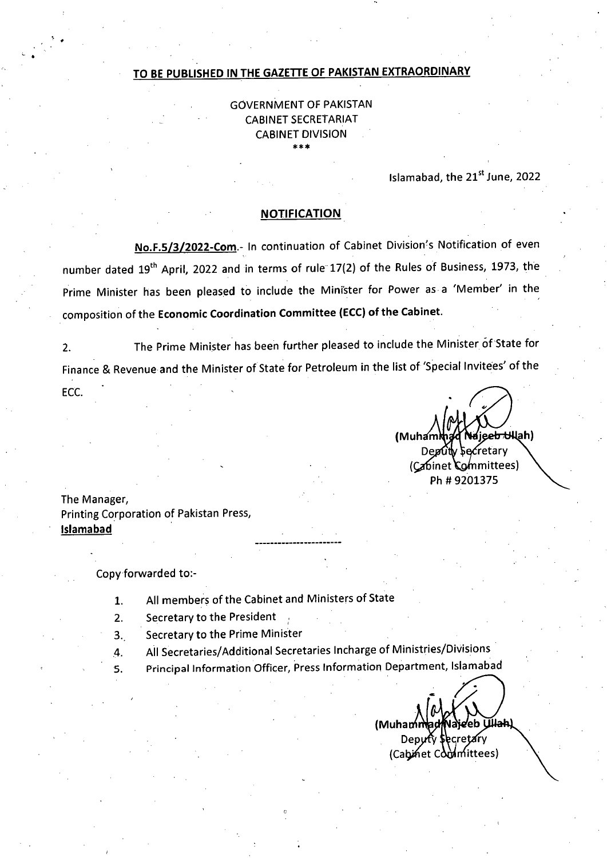#### **TO BE PUBLISHED IN THE GAZETTE OF PAKISTAN EXTRAORDINARY**

GOVERNMENT OF PAKISTAN CABINET SECRETARIAT CABINET DIVISION \*\*\*

**Islamabad, the 21st June, 2022** 

### **NOTIFICATION**

No.F.5/3/2022-Com.- In continuation of Cabinet Division's Notification of even number dated 19<sup>th</sup> April, 2022 and in terms of rule 17(2) of the Rules of Business, 1973, the Prime Minister has been pleased to include the Minister for Power as a 'Member' in the composition of the **Economic Coordination Committee (ECC) of the Cabinet.** 

2. The Prime Minister has been further pleased to include the Minister of State for Finance & Revenue and the Minister of State for Petroleum in the list of 'Special Invitees' of the

**(`Na**iee<del>b U</del>llah) (Muham Deputy *Secretary* (Cabinet Committees) Ph # 9201375

The Manager, Printing Corporation of Pakistan Press, **Islamabad** 

ECC.

Copy forwarded to:-

- All members of the Cabinet and Ministers of State  $1.$
- $2.$ Secretary to the President
- 3., Secretary to the Prime Minister
- All Secretaries/Additional Secretaries Incharge of Ministries/Divisions 4.
- Principal Information Officer, Press Information Department, Islamabad 5.

**Üllak) (Muha**  Deputy Secretary (Cabinet Committees)